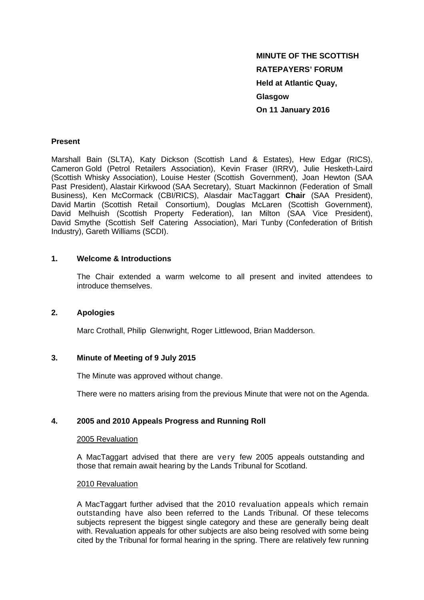# **MINUTE OF THE SCOTTISH RATEPAYERS' FORUM Held at Atlantic Quay, Glasgow On 11 January 2016**

#### **Present**

Marshall Bain (SLTA), Katy Dickson (Scottish Land & Estates), Hew Edgar (RICS), Cameron Gold (Petrol Retailers Association), Kevin Fraser (IRRV), Julie Hesketh-Laird (Scottish Whisky Association), Louise Hester (Scottish Government), Joan Hewton (SAA Past President), Alastair Kirkwood (SAA Secretary), Stuart Mackinnon (Federation of Small Business), Ken McCormack (CBI/RICS), Alasdair MacTaggart **Chair** (SAA President), David Martin (Scottish Retail Consortium), Douglas McLaren (Scottish Government), David Melhuish (Scottish Property Federation), Ian Milton (SAA Vice President), David Smythe (Scottish Self Catering Association), Mari Tunby (Confederation of British Industry), Gareth Williams (SCDI).

## **1. Welcome & Introductions**

The Chair extended a warm welcome to all present and invited attendees to introduce themselves.

#### **2. Apologies**

Marc Crothall, Philip Glenwright, Roger Littlewood, Brian Madderson.

#### **3. Minute of Meeting of 9 July 2015**

The Minute was approved without change.

There were no matters arising from the previous Minute that were not on the Agenda.

# **4. 2005 and 2010 Appeals Progress and Running Roll**

#### 2005 Revaluation

A MacTaggart advised that there are very few 2005 appeals outstanding and those that remain await hearing by the Lands Tribunal for Scotland.

#### 2010 Revaluation

A MacTaggart further advised that the 2010 revaluation appeals which remain outstanding have also been referred to the Lands Tribunal. Of these telecoms subjects represent the biggest single category and these are generally being dealt with. Revaluation appeals for other subjects are also being resolved with some being cited by the Tribunal for formal hearing in the spring. There are relatively few running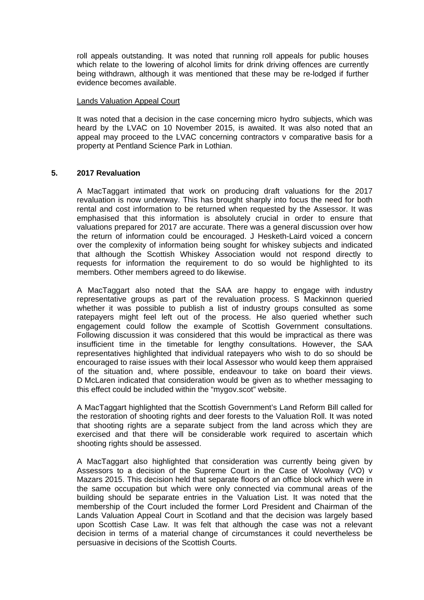roll appeals outstanding. It was noted that running roll appeals for public houses which relate to the lowering of alcohol limits for drink driving offences are currently being withdrawn, although it was mentioned that these may be re-lodged if further evidence becomes available.

#### Lands Valuation Appeal Court

It was noted that a decision in the case concerning micro hydro subjects, which was heard by the LVAC on 10 November 2015, is awaited. It was also noted that an appeal may proceed to the LVAC concerning contractors v comparative basis for a property at Pentland Science Park in Lothian.

## **5. 2017 Revaluation**

A MacTaggart intimated that work on producing draft valuations for the 2017 revaluation is now underway. This has brought sharply into focus the need for both rental and cost information to be returned when requested by the Assessor. It was emphasised that this information is absolutely crucial in order to ensure that valuations prepared for 2017 are accurate. There was a general discussion over how the return of information could be encouraged. J Hesketh-Laird voiced a concern over the complexity of information being sought for whiskey subjects and indicated that although the Scottish Whiskey Association would not respond directly to requests for information the requirement to do so would be highlighted to its members. Other members agreed to do likewise.

A MacTaggart also noted that the SAA are happy to engage with industry representative groups as part of the revaluation process. S Mackinnon queried whether it was possible to publish a list of industry groups consulted as some ratepayers might feel left out of the process. He also queried whether such engagement could follow the example of Scottish Government consultations. Following discussion it was considered that this would be impractical as there was insufficient time in the timetable for lengthy consultations. However, the SAA representatives highlighted that individual ratepayers who wish to do so should be encouraged to raise issues with their local Assessor who would keep them appraised of the situation and, where possible, endeavour to take on board their views. D McLaren indicated that consideration would be given as to whether messaging to this effect could be included within the "mygov.scot" website.

A MacTaggart highlighted that the Scottish Government's Land Reform Bill called for the restoration of shooting rights and deer forests to the Valuation Roll. It was noted that shooting rights are a separate subject from the land across which they are exercised and that there will be considerable work required to ascertain which shooting rights should be assessed.

A MacTaggart also highlighted that consideration was currently being given by Assessors to a decision of the Supreme Court in the Case of Woolway (VO) v Mazars 2015. This decision held that separate floors of an office block which were in the same occupation but which were only connected via communal areas of the building should be separate entries in the Valuation List. It was noted that the membership of the Court included the former Lord President and Chairman of the Lands Valuation Appeal Court in Scotland and that the decision was largely based upon Scottish Case Law. It was felt that although the case was not a relevant decision in terms of a material change of circumstances it could nevertheless be persuasive in decisions of the Scottish Courts.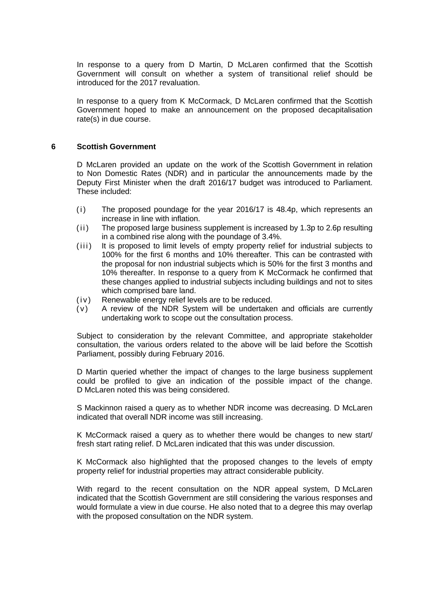In response to a query from D Martin, D McLaren confirmed that the Scottish Government will consult on whether a system of transitional relief should be introduced for the 2017 revaluation.

In response to a query from K McCormack, D McLaren confirmed that the Scottish Government hoped to make an announcement on the proposed decapitalisation rate(s) in due course.

#### **6 Scottish Government**

D McLaren provided an update on the work of the Scottish Government in relation to Non Domestic Rates (NDR) and in particular the announcements made by the Deputy First Minister when the draft 2016/17 budget was introduced to Parliament. These included:

- $(i)$  The proposed poundage for the year 2016/17 is 48.4p, which represents an increase in line with inflation.
- $(i)$  The proposed large business supplement is increased by 1.3p to 2.6p resulting in a combined rise along with the poundage of 3.4%.
- (iii) It is proposed to limit levels of empty property relief for industrial subjects to 100% for the first 6 months and 10% thereafter. This can be contrasted with the proposal for non industrial subjects which is 50% for the first 3 months and 10% thereafter. In response to a query from K McCormack he confirmed that these changes applied to industrial subjects including buildings and not to sites which comprised bare land.
- (iv) Renewable energy relief levels are to be reduced.
- $(v)$  A review of the NDR System will be undertaken and officials are currently undertaking work to scope out the consultation process.

Subject to consideration by the relevant Committee, and appropriate stakeholder consultation, the various orders related to the above will be laid before the Scottish Parliament, possibly during February 2016.

D Martin queried whether the impact of changes to the large business supplement could be profiled to give an indication of the possible impact of the change. D McLaren noted this was being considered.

S Mackinnon raised a query as to whether NDR income was decreasing. D McLaren indicated that overall NDR income was still increasing.

K McCormack raised a query as to whether there would be changes to new start/ fresh start rating relief. D McLaren indicated that this was under discussion.

K McCormack also highlighted that the proposed changes to the levels of empty property relief for industrial properties may attract considerable publicity.

With regard to the recent consultation on the NDR appeal system. D McLaren indicated that the Scottish Government are still considering the various responses and would formulate a view in due course. He also noted that to a degree this may overlap with the proposed consultation on the NDR system.